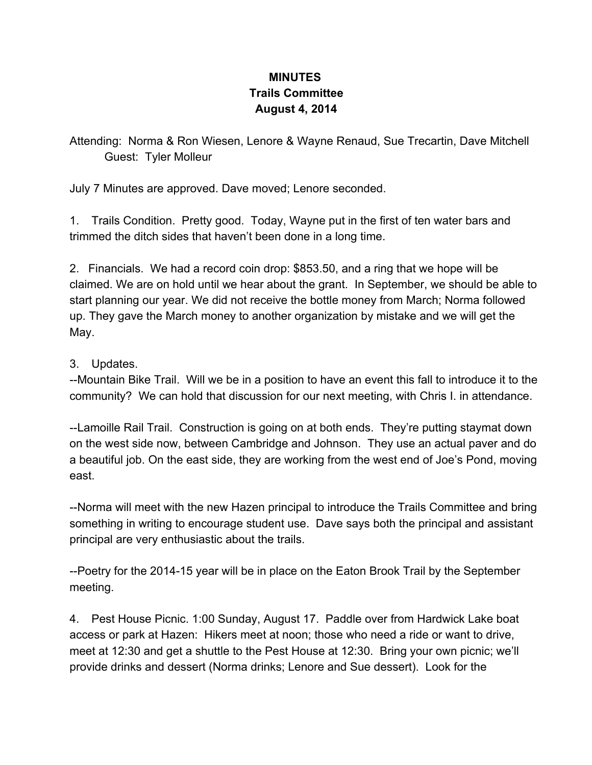## **MINUTES Trails Committee August 4, 2014**

Attending: Norma & Ron Wiesen, Lenore & Wayne Renaud, Sue Trecartin, Dave Mitchell Guest: Tyler Molleur

July 7 Minutes are approved. Dave moved; Lenore seconded.

1. Trails Condition. Pretty good. Today, Wayne put in the first of ten water bars and trimmed the ditch sides that haven't been done in a long time.

2. Financials. We had a record coin drop: \$853.50, and a ring that we hope will be claimed. We are on hold until we hear about the grant. In September, we should be able to start planning our year. We did not receive the bottle money from March; Norma followed up. They gave the March money to another organization by mistake and we will get the May.

## 3. Updates.

Mountain Bike Trail. Will we be in a position to have an event this fall to introduce it to the community? We can hold that discussion for our next meeting, with Chris I. in attendance.

--Lamoille Rail Trail. Construction is going on at both ends. They're putting staymat down on the west side now, between Cambridge and Johnson. They use an actual paver and do a beautiful job. On the east side, they are working from the west end of Joe's Pond, moving east.

--Norma will meet with the new Hazen principal to introduce the Trails Committee and bring something in writing to encourage student use. Dave says both the principal and assistant principal are very enthusiastic about the trails.

--Poetry for the 2014-15 year will be in place on the Eaton Brook Trail by the September meeting.

4. Pest House Picnic. 1:00 Sunday, August 17. Paddle over from Hardwick Lake boat access or park at Hazen: Hikers meet at noon; those who need a ride or want to drive, meet at 12:30 and get a shuttle to the Pest House at 12:30. Bring your own picnic; we'll provide drinks and dessert (Norma drinks; Lenore and Sue dessert). Look for the